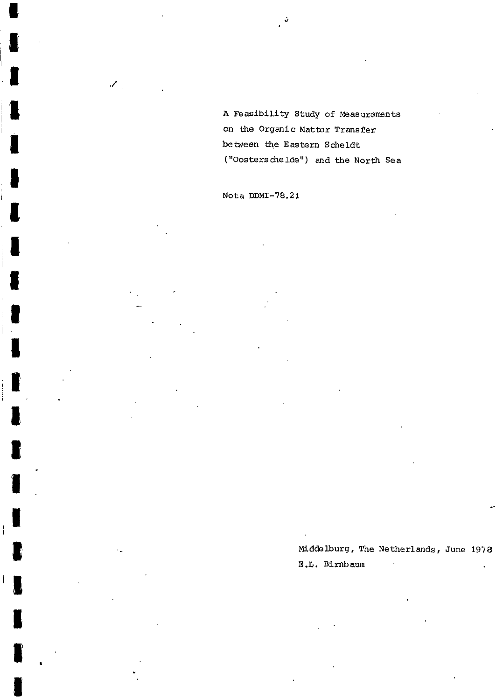A Feasibility Study of Measurements on the Organic Matter Transfer between the Eastern Scheldt ("Oosterschelde") and the North Sea

Nota DDMI-78.21

 $\mathscr{S}_\mathbb{R}$ 

Middelburg, The Netherlands, June 1978 E.L. Birnbaum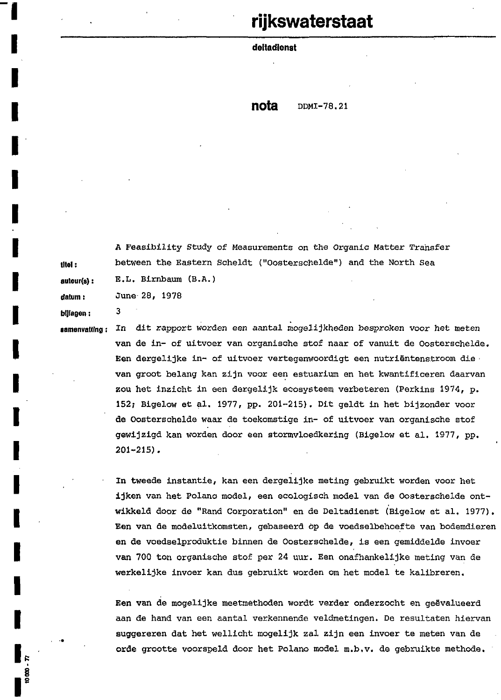# rijkswaterstaat

**deltadienst** 

**nota** *DDMI-78.21* 

**A** Feasibility Study of Measurements on the Organic Matter Transfer **tltel** : between the Eastern Scheldt ("Oosterschelde") and the North Sea **suteur(8):** E.L. Birnbaum (B.A.) **datum** : June **28, 1978** 

**bijlagen** : **<sup>3</sup>**

**I** 

**I** 

**I** 

**I** 

**I** 

**I** 

**I** 

**I** 

**I** 

**I** 

**I** 

**I** 

**I** 

**I** 

**I** 

**I** 

**I** 

**I** 

**iemenvalling** : In dit rapport worden een aantal mogelijkheden besproken voor het meten van de in- of uitvoer van organische stof naar of vanuit de Oosterschelde. Een dergelijke in- of uitvoer vertegenwoordigt een nutriëntenstroom die van groot belang kan zijn voor een estuarium en het kwantificeren daarvan zou het inzicht in een dergelijk ecosysteem verbeteren (Perkins **1974,** p. **152;** Bigelow et al. **1977,** pp. **201-215).** Dit geldt in het bijzonder voor **de** Oosterschelde waar de toekomstige in- of uitvoer van organische stof gewijzigd kan worden door een stormvloedkering (Bigelow et al. **1977,** pp. **201-2151,** 

> In tweede instantie, kan een dergelijke meting gebruikt worden **voor** het ijken van het Polano model, een ecologisch model van de Oosterschelde ontwikkeld door de "Rand Corporation" en de Deltadienst (Bigelow et al. **1977).**  Een van de modeluitkomsten, gebaseerd Òp de voedselbehoefte van bodemdieren en de voedselproduktie binnen de Oosterschelde, is een gemiddelde invoer van 700 ton organische stof per **24** uur. Een onafhankelijke meting van de werkelijke invoer kan dus gebruikt worden om het model te kalibreren.

Een van de mogelijke meetmethoden wordt verder onderzocht en geëvalueerd aan de hand van een aantal verkennende veldmetingen. De resultaten hiervan suggereren dat het wellicht mogelijk zal zijn een invoer te meten van de orde grootte voorspeld door het Polano model m.b.v. de gebruikte methode.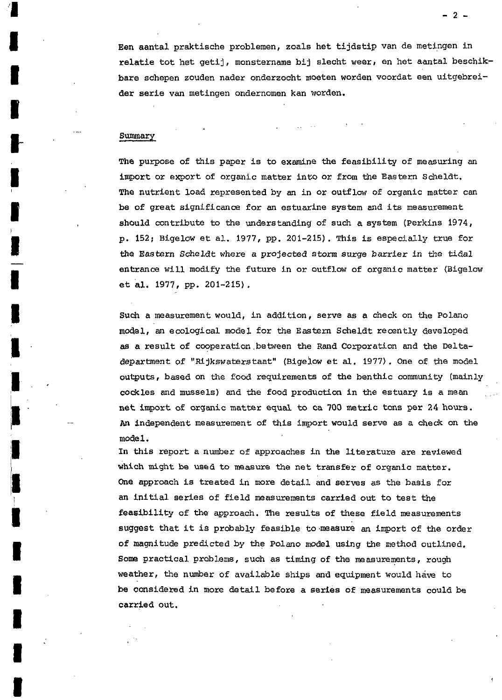Een aantal praktische problemen, zoals het tijdstip van de metingen in relatie tot het getij, monstername bij slecht weer, en het aantal beschikbare schepen zouden nader onderzocht moeten worden voordat een uitgebreider serie van metingen ondernomen kan worden.

# Summary

**I** 

**I** 

i

i

**I** 

**i** 

**I** 

**1** 

**I** 

The purpose of **this** paper **is** to examine the feasibility of measuring an import or export of organic matter int0 or from the Eastern Scheldt, The nutrient load represented by an **in** or outflow of organic matter can be of great significance for **an** estuarine system and its measurement should contribute to the understanding of such a system (Perkins 1974, p. 152; Bigelow et al. 1977, pp. 201-215). This **is** especially true for the Eastern Scheldt where a projecteed *storm* surge barrier **in** the tidal entrance wil1 modify the future in or outflow of organic matter (Bigelow et al. 1977, pp. **201-215).** 

Such a measurement would, in addition, serve as a check on the Polano model, an ecological model for the **Eastern** Scheldt recently developed **as** a result of cooperation between the Rand Corporation and the Deltadepartment gf "Rijkswaterstaat" (Bigelow et ai. 1977). One of the model outputs, based on the food requirements of the benthic community (mainly cockles and mussels) and the food production in the estuary **is** a mean net import of organic matter equal to **ca** 700 metric tons per 24 hours. **An** independent measurement of **this** import would serve as a check on the mode 1.

In **this** report a number of approaches in the literature are reviewed which might be used to measure the net transfer of organic matter. me approach **is** treated **in** mre detail and serves as the basis for **an** initia1 series of field measurements carried out to test **the**  feasibility of the approach. The **results** of these field measurements suggest that it **is** probably feasible to ,measure an import of the order of magnitude predicted by the **Polano** model using the method outlined. Some practical problems, such as timing of the measurements, rough weather, the number of available ships and equipment would have to be considered in more detail before a series of measurements could be carried out,

 $-2-$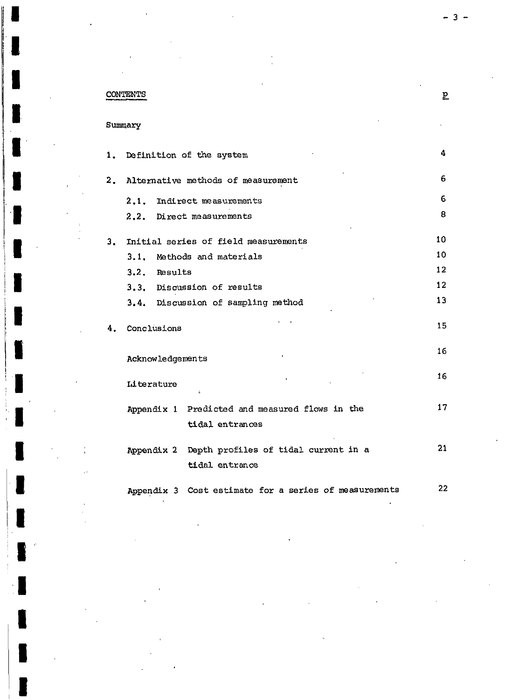# CONTENTS

Summary

**I** 

**P** 

|                           |                                    |                  | 1. Definition of the system                                       | 4                 |  |
|---------------------------|------------------------------------|------------------|-------------------------------------------------------------------|-------------------|--|
| $\overline{\mathbf{2}}$ . | Alternative methods of measurement |                  |                                                                   |                   |  |
|                           |                                    |                  | 2.1. Indirect measurements                                        | 6                 |  |
|                           |                                    |                  | 2.2. Direct measurements                                          | 8                 |  |
| 3.                        |                                    |                  | Initial series of field measurements                              | 10                |  |
|                           | 3.1.                               |                  | Methods and materials                                             | 10                |  |
|                           |                                    | 3.2. Results     |                                                                   | $12 \overline{2}$ |  |
|                           | 3.3. Discussion of results         |                  |                                                                   |                   |  |
|                           |                                    |                  | 3.4. Discussion of sampling method                                | 13                |  |
| 4.                        |                                    | Conclusions      |                                                                   | 15                |  |
|                           |                                    | Acknowledgements |                                                                   | 16                |  |
|                           |                                    | Literature       | t.                                                                | 16                |  |
|                           |                                    |                  | Appendix 1 Predicted and measured flows in the<br>tidal entrances | 17                |  |
|                           |                                    |                  | Appendix 2 Depth profiles of tidal current in a<br>tidal entrance | 21                |  |
|                           |                                    |                  | Appendix 3 Cost estimate for a series of measurements             | 22                |  |

 $3 -$ 

 $\underline{\mathbf{p}}$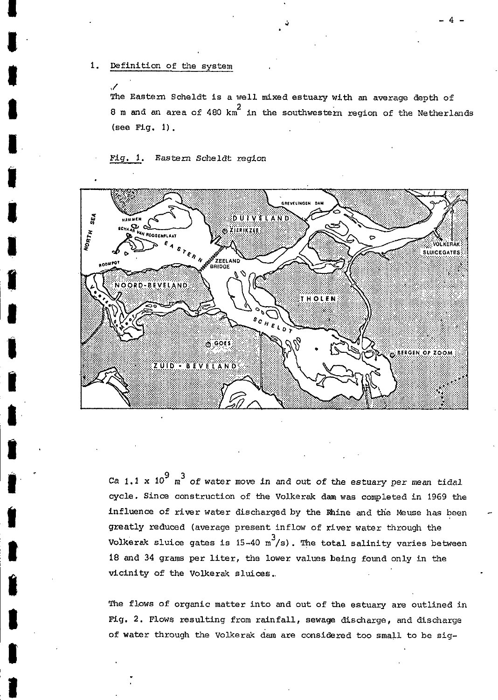The Eastern Scheldt is a well mixed estuary with an average depth of 8 m and an area of 480  $km^2$  in the southwestern region of the Netherlands  $(see Fig. 1).$ 

Eastern Scheldt region Fia. -1.



Ca 1.1 x 10<sup>9</sup>  $m^3$  of water move in and out of the estuary per mean tidal cycle. Since construction of the Volkerak dam was completed in 1969 the influence of river water discharged by the Rhine and the Meuse has been greatly reduced (average present inflow of river water through the Volkerak sluice gates is  $15-40 \frac{3}{s}$ ; The total salinity varies between 18 and 34 grams per liter, the lower values being found only in the vicinity of the Volkerak sluices.

The flows of organic matter into and out of the estuary are outlined in Fig. 2. Flows resulting from rainfall, sewage discharge, and discharge of water through the Volkerak dam are considered too small to be sig-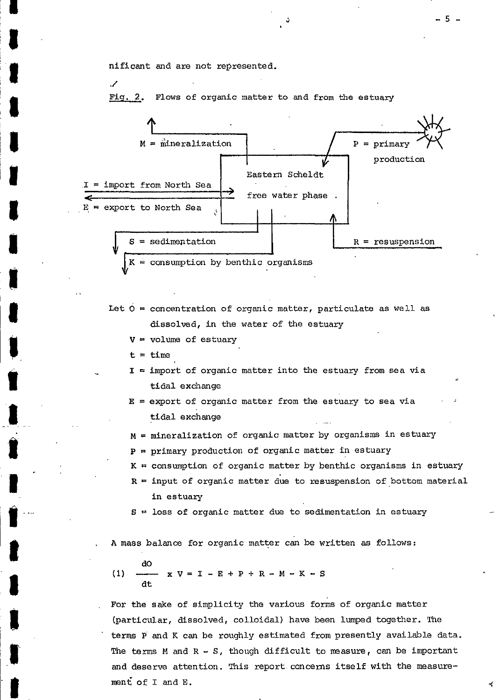nificant and are not represented.

./

**a** 

**1** 

**1** 

**1** 

**I** 

**1** 

**f** 

**'8** 

**I** 

Fig. 2. Flows *of* organic matter to and from the estuary



- Let  $0 =$  concentration of organic matter, particulate as well as dissolved, in the water of the estuary
	- $V = volume$  of estuary
	- $t = time$

 $I =$  import of organic matter into the estuary from sea via tidal exchange

**E** = export of organic matter from the estuary to sea via<br>tidal exchange

- $M =$  mineralization of organic matter by organisms in estuary
- **P** = primary production of organic matter in estuary
- $K =$  consumption of organic matter by benthic organisms in estuary
- **R** = input *of* organic matter due to resuspension of bottom material in estuary
- $S =$  loss of organic matter due to sedimentation in estuary

A mass balance for organic matter can be written as follows:

do dt (1)  $\longrightarrow$  **x**  $V = I - E + P + R - M - K - S$ 

For the sake of simplicity the various forms of organic matter (particular, dissolved, colloidal) have been lumped together. The term **P** and K can be roughly estimated from presently available data. The terms M and  $R - S$ , though difficult to measure, can be important and deserve attention. This report concerns itself with the measurement of I and E.  $\checkmark$ 

**-5-**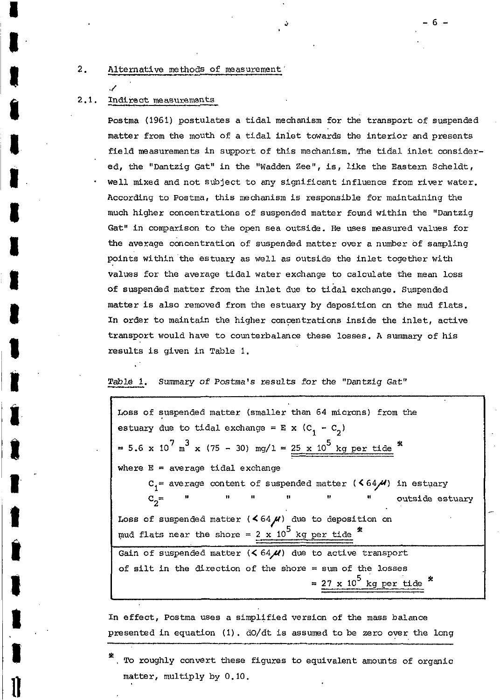## 2. Alternative methods of measurement

# *4*  2.1. Indirect measurements

**a** 

Postma (1961) postulates a tidal mechanism for the transport of suspended matter from the mouth of a tidal inlet towards the interior and presents field measurements in support of this mechanism. **The** tidal inlet considered, the "Dantzig Gat" in the "Wadden Zee", is, like the Eastern Scheldt, we11 mixed and not subject to any significant influence from river water. According to Postma, this mechanism is responsible for maintaining the much higher concentrations of suspended matter found within the "Dantzig Gat" in comparison to the open sea outside. He **uses** masured values for the average concentration of suspended matter over a number of sampling points within the estuary as wel1 as outside *the* inlet together with values for the average tidal water exchange to calculate the mean **locs**  of suspended matter from the inlet due to tidal exchange. Suspended matter **is** also removed from the estuary by deposition *on* the mud flats. In order to maintain the higher concentrations inside the inlet, active transport would have to counterbalance these lossec. **A** summary of his results is given in Table 1.

#### **Tab16** 1. Smary of Postma's results for *the* "Dantzig Gat"

| Loss of suspended matter (smaller than 64 microns) from the                                                                                                                                                                                                                                                                                                                                                                                                                                                                                                                                                                                                                                                     |  |  |  |  |  |  |  |
|-----------------------------------------------------------------------------------------------------------------------------------------------------------------------------------------------------------------------------------------------------------------------------------------------------------------------------------------------------------------------------------------------------------------------------------------------------------------------------------------------------------------------------------------------------------------------------------------------------------------------------------------------------------------------------------------------------------------|--|--|--|--|--|--|--|
| estuary due to tidal exchange = $E$ x (C <sub>1</sub> - C <sub>2</sub> )                                                                                                                                                                                                                                                                                                                                                                                                                                                                                                                                                                                                                                        |  |  |  |  |  |  |  |
| = 5.6 x 10 <sup>7</sup> m <sup>3</sup> x (75 - 30) mg/1 = $\frac{25 \times 10^5 \text{ kg per tide}}{25 \times 10^5 \text{ kg per tide}}$                                                                                                                                                                                                                                                                                                                                                                                                                                                                                                                                                                       |  |  |  |  |  |  |  |
| where $E = average$ tidal exchange                                                                                                                                                                                                                                                                                                                                                                                                                                                                                                                                                                                                                                                                              |  |  |  |  |  |  |  |
| $C_1$ = average content of suspended matter ( $64/M$ ) in estuary                                                                                                                                                                                                                                                                                                                                                                                                                                                                                                                                                                                                                                               |  |  |  |  |  |  |  |
| $\mathbb{C}_2^{\mathfrak{m}} \qquad \overset{\text{II}}{\longrightarrow} \qquad \overset{\text{II}}{\longrightarrow} \qquad \overset{\text{II}}{\longrightarrow} \qquad \overset{\text{II}}{\longrightarrow} \qquad \overset{\text{II}}{\longrightarrow} \qquad \overset{\text{II}}{\longrightarrow} \qquad \overset{\text{II}}{\longrightarrow} \qquad \overset{\text{II}}{\longrightarrow} \qquad \overset{\text{II}}{\longrightarrow} \qquad \overset{\text{II}}{\longrightarrow} \qquad \overset{\text{II}}{\longrightarrow} \qquad \overset{\text{II}}{\longrightarrow} \qquad \overset{\text{II}}{\longrightarrow} \qquad \overset{\text{II}}{\longrightarrow} \qquad \overset{\text{$<br>outside estuary |  |  |  |  |  |  |  |
| Loss of suspended matter $(64\mu)$ due to deposition on                                                                                                                                                                                                                                                                                                                                                                                                                                                                                                                                                                                                                                                         |  |  |  |  |  |  |  |
| mud flats near the shore = $2 \times 10^5$ kg per tide                                                                                                                                                                                                                                                                                                                                                                                                                                                                                                                                                                                                                                                          |  |  |  |  |  |  |  |
| Gain of suspended matter $(5.64,\mathcal{U})$ due to active transport                                                                                                                                                                                                                                                                                                                                                                                                                                                                                                                                                                                                                                           |  |  |  |  |  |  |  |
| of silt in the direction of the shore $=$ sum of the losses                                                                                                                                                                                                                                                                                                                                                                                                                                                                                                                                                                                                                                                     |  |  |  |  |  |  |  |
| $= 27 \times 10^5$ kg per tide                                                                                                                                                                                                                                                                                                                                                                                                                                                                                                                                                                                                                                                                                  |  |  |  |  |  |  |  |

In effect, Postma uses a simplified version of the mass balance presented in equation (1). do/dt is assumed to be zero over the long

-6-

<sup>.</sup> To roughly convert these figures to equivalent amounts of organic matter, multiply by 0.10.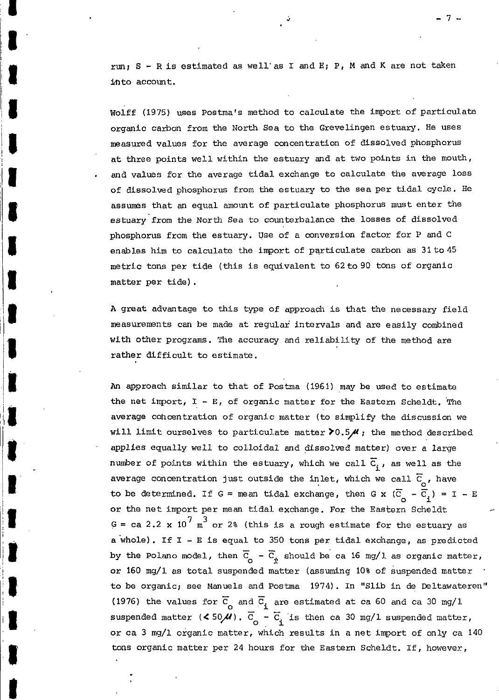run1 **S** - **R** is estimated as well'as I and E; P, M and **K** are not taken hto account.

Wolff (1975) uses Postma's method to calculate the import of particulate organic carbon from the North Sea to the Grevelingen estuary. He uses measured values for the average concentration of dissolved phosphorus at three points wel1 within the estuary and at two points in the mouth, . and values for the average tidal exchange to calculate the average **loss of** äissolved phosphorus from the estuary to the sea per tidal cycle. He assumes that an equal amount of particulate phosphorus must enter the estuary from the North Sea to counterbalance the losses of dissolved phosphorus from the estuary. Use of a conversion factor for P and C enables him to calculate the import **of** pqrticulate carbon as 31to45 metric tons per tide (this is equivalent to 62 to 90 tons of organic matter per tide).

**lt** 

li

**1** 

:<br>!<br>.

**<sup>A</sup>**great advantage to this type of approach is that the necessary field measurements can be made at regular intervals and are easily combined with other programs. The accuracy and reliability of the method are rather difficult to estimate.

*An* approach similar to that of Postma (1961) may be wed to estimate the net import,  $I - E$ , of organic matter for the Eastern Scheldt. The average cohcentration of organic matter (to simplify the discussion we will limit ourselves to particulate matter  $\geq 0.5$  , the method described applies equally well to colloidal and dissolved matter) over a large number of points within the estuary, which we call  $\overline{C}_i$ , as well as the average concentration just outside the inlet, which we call  $\overline{C}_0$ , have<br>to be determined If  $G = \text{mean}$  tidal exchange, then  $G \times (\overline{G}) = \overline{G}$   $) = T$ to be determined. If G = mean tidal exchange, then G x  $(\overline{C}_0 - \overline{C}_1) = I - E$ or the net import per mean tidal exchange. For the Eastern Scheldt  $G = ca \ 2.2 \times 10^7 \text{ m}^3$  or 2% (this is a rough estimate for the estuary as a whole) . If I - E is equal to 350 tons per tidal exchange, as predicted by the Polano model, then  $\overline{c}_{o} - \overline{c}_{\dot{x}}$  should be ca 16 mg/l as organic matter, or 160 mg/l as total suspended matter (assuming 10% of suspended matter ' to be organic; see Manuels and Postma 1974). In "Slib in **do** Deltawateren" (1976) the values for  $\overline{C}_{0}$  and  $\overline{C}_{1}$  are estimated at ca 60 and ca 30 mg/l<br>suspended matter (< 50 **4)**  $\overline{C}_{1}$  =  $\overline{C}_{1}$  is then ca 30 mg/l suspended matte suspended matter  $($   $\leq$  50 $\overline{u}$ ).  $\overline{C}_{o}$  -  $\overline{C}_{i}$  is then ca 30 mg/1 suspended matter, or ca **3** mg/l organic matter, which results in a net import **of** only ca 140 tons organic matter per 24 hours for the Eastern Scheldt. If, however,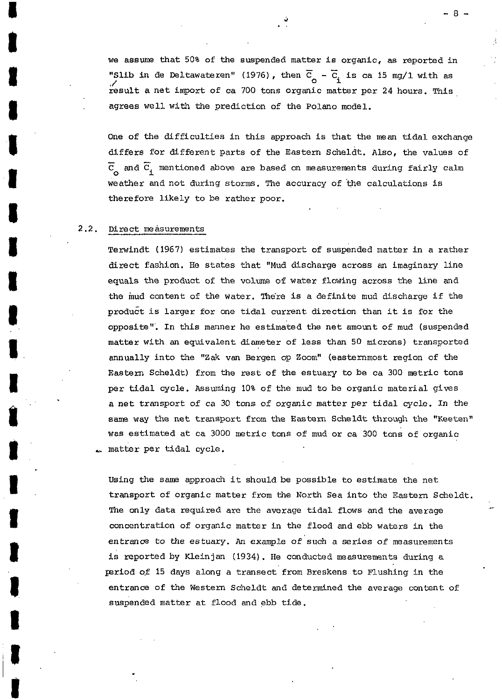we assume that 50% of the suspended matter is organic, as reported in<br>"Slib in de Deltawateren" (1976), then  $\overline{C}$  =  $\overline{C}$  is ca.15 mg/1 with as "Slib in de Deltawateren" (1976), then  $\overline{C}_g - \overline{C}_i$  is ca 15 mg/1 with as ,/ result a net import of ca 700 tons organic matter per 24 hours. **This**  agrees wel1 with the prediction of the Polano model.

One of the difficulties in this approach is that the mean tidal exchange differs for different parts of the Eastern Scheldt. Also, the values of  $\overline{G}$  and  $\overline{G}$  mentioned shows are based on measurements during fairly salm C and Ei mentioned above are based on measurements during fairly calm *O*  weather and not during storms. The accuracy of the calculations is therefore likely to be rather poor.

# 2.2. Direct measurements

.

*8* 

**I** 

*t* 

**I** 

**1** 

**I** 

**I** 

**1** 

**I** 

**1** 

**I** 

**a** 

**1** 

**1** 

**I** 

**1** 

**1** 

**I** 

**I** 

Terwindt (1967) estimates the transport of suspended matter in a rather direct fashion. He states that "Mud discharge across an imaginary line equals the product of the volume of water flowing across the line and the mud content of the water. The're is a definite mud discharge if the product is larger for one tidal current direction than it is for the opposite". In this manncr he estimated the net amomit of mud (suspended matter with an equivalent diameter of less than 50 microns) transported annually int0 the **"Zak** van Bergen op Zoom" (easternmost region of the Eastern Scheldt) from the rest of the estuary to be ca 300 metric tons per tidal cycle. Assuming 10% of the mud to be organic material gives a net transport of ca 30 tons of organic matter per tidal cycle. In the same way the net transport from the Eastern Scheldt through the "Keeten" was estimated at ca 3000 metric tons of mud or ca 300 tons of organic matter per tidal cycle.

Using the same approach it should be possible to estimate the net transport of organic matter from the North Sea int0 the Eastern Scheldt. The only data required are the average tidal flows and the average concentration of organic matter in the flood and ebb waters in the entrance *to* the ectuary. *An example* of **such** a series of measurements is reported by Kleinjan (1934). He conducted masuremnts during a period of 15 days along a transect from Breskens to Flushing in the entrance of the Western Scheldt and determined the average content of suspended matter at flood and ebb tide.

\_-

8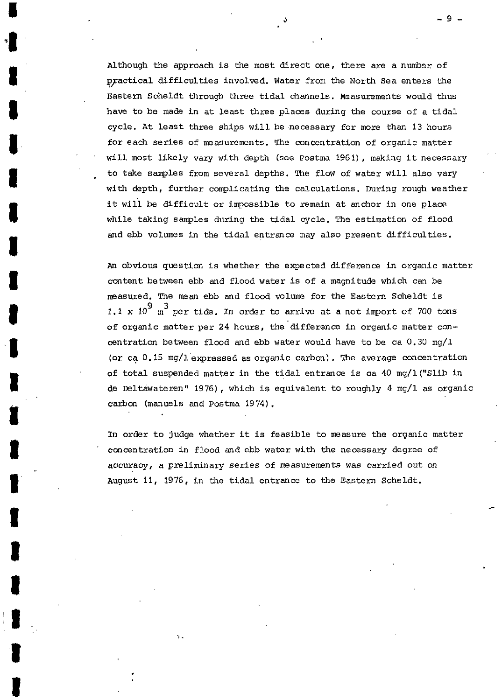Although the approach is the most direct one, there are a number of practica1 difficulties involved. Water from the North Sea enters the Eastern Scheldt through three tidal channels. Measurements would **thus**  have to be made in at least three places during the course of a tidal cycle. At least three ships will be necessary for more than 13 hours for each series of measurements. The concentration of organic matter will most likely vary with depth (see Postma 1961), making it necessary to take samples from several depths. The flow of water will also vary with depth, further complicating the calculations. During rough weather it **will** be difficult or impossible to remain at anchor in one place while taking samples during the tidal cycle. The estimation of flood and ebb volumes in the tidal entrance may also present difficulties. .

**I** 

**'\*I** 

**1** 

*8* 

**a** 

**I** 

**1** 

**I** 

**I** 

**I** 

**T** 

**1** 

**1** 

**I** 

**I** 

**I** 

**I** 

**I** 

**I** 

**1-** 

**i** 

*An* obvious question is whether the expected difference in organic matter content between ebb and flood water is of a magnitude which can be neasured. The mem ebb and flood **volurn'** for the Eastern Scheldt is **1.1**  $\times$  **10<sup>9</sup>** m<sup>3</sup> per tide. In order to arrive at a net import of 700 tons of organic matter per 24 hours, the difference in organic matter concentration between flood and ebb water would have to be ca 0.30 **mg/l (or** ca *O.* 15 mg/l-expressed **as** organic carbon), The average concentration of total suspended matter in the tidal entrance is ca 40 mg/l("Slib in de Eltawateren" 1976), which is equivalent **to** roughly **4** mg/i as organic carbon (manuels and Postma 1974).

In order to judge whether it is feasible to measure the organic matter concentration in flood and ebb water with the necessary degree of accuracy, a preliminary series of measurements was carried out on **August** 11, 1976, in the tidal entrance to the Eastern Scheldt.

-9-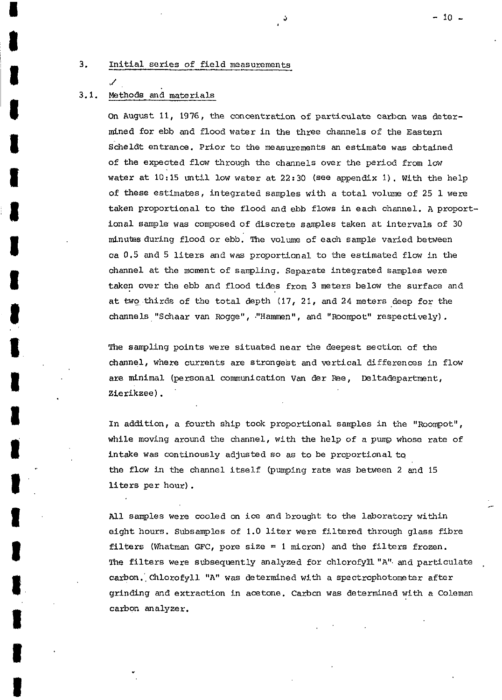## 3. Initia1 series of field measurements

# 3.1. Methods and materials

 $\mathcal{L}$ 

**1** 

**I** 

**1** 

**1** 

**I** 

**a** 

**1** 

**I** 

*t* 

**1** 

**I** 

**I** 

**I** 

**I** 

**I** 

**I** 

On August 11, 1976, the concentration of particulate carbon was determined for ebb and flood water in the three channels of the Eastern Scheldt entrance. Prior to the measurements an estimate was obtained of the expected flow through the channels over the period from low water at 10:15 until low water at 22: 30 *(see* appendix I). With the help of these estimates, integrated samples with a total volume of 25 1 were taken proportional to the flood and ebb flows in each channel. A proportional sample was composed of discrete samples taken at intervals of 30 minubs during flood or ebb. The volume of each sample varied between ca 0.5 and 5 liters and was proportional to the estimated flow in the channel at the moment of sampling. Separate integrated samples were taken over the ebb and flood tides from **3 meters** below the surface and at **twg** thirds of the total depth (17, 21, and 24 meters deep for the channels "Schaar van Rogge" , ."Hamrep", and "Roompot" respectively) .

The sampling points were situated near the deepest section of **the**  channel, where currents are strongest and vertical afferences in flow are minimal (personal communication Van der Ree, Deltadepartment, Zierikzee).

In addition, a fourth ship took proportional samples in the "Roompot", while moving around the channel, with the help of a pump whose rate of intake was continously adjusted **so** as to be proportional to the flow in the channel itself (pumping rate was between 2 and <sup>15</sup> liters per hour) .

All samples were cooled on ice and brought to the laboratory within eight hours. Subsamples of 1.0 liter were filtered through glass fibre filters (Whatman GFC, pore size = 1 micron) and the filters frozen. The filters were subsequently analyzed for chlorofyll "A" and particulate carbon. Chlorofyll "A" was determined with a spectrophotometer after grinding and extraction in acetone. Carbon was determined with a Coleman carbon analyzer.

 $\frac{3}{2}$  - 10 -

**I-**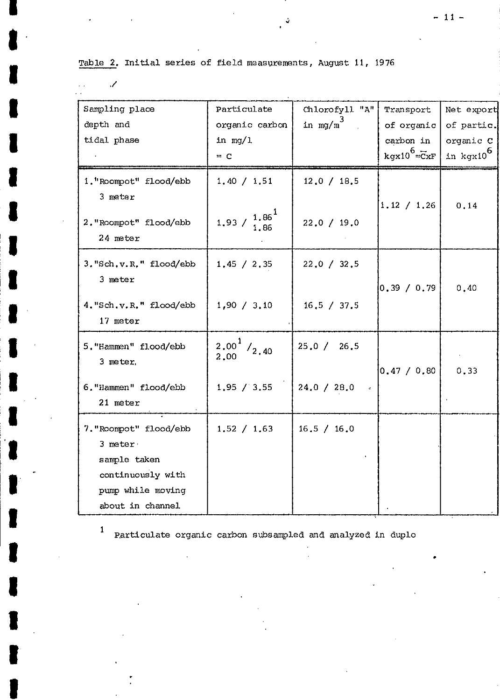Table **2.** Initia1 series of field measyrements, August 11, <sup>1976</sup>

**1** 

**1'** 

 $\mathcal{S}$ 

**I** 

**1** 

**I** 

**1** 

**1** 

**I** 

*t* 

**'I** 

**1** 

**I** 

**I** 

**I\_** 

**1** 

**1** 

**1** 

**I** 

**I** 

**I** 

**11** 

**I** 

| Sampling place          | Particulate                                                                   | Chlorofyll "A" | Transport                  | Net export            |
|-------------------------|-------------------------------------------------------------------------------|----------------|----------------------------|-----------------------|
| depth and               | organic carbon                                                                | in $mg/m^3$    | of organic                 | of partic.            |
| tidal phase             | in $mq/1$                                                                     |                | carbon in                  | organic C             |
|                         | $= C$                                                                         |                | $kgx10^6 = \overline{C}xF$ | in kgx10 <sup>6</sup> |
| 1. "Roompot" flood/ebb  | 1.40 / 1.51                                                                   | 12.0 / 18.5    |                            |                       |
| 3 meter                 |                                                                               |                | 1.12 / 1.26                | 0.14                  |
| 2. "Roompot" flood/ebb  | 1.93 / $\frac{1.86}{1.25}$                                                    | 22.0 / 19.0    |                            |                       |
| 24 meter                |                                                                               |                |                            |                       |
| 3. "Sch.v.R." flood/ebb | 1.45 / 2.35                                                                   | 22.0 / 32.5    |                            |                       |
| 3 meter                 |                                                                               |                | 0.39 / 0.79                | 0,40                  |
| 4. "Sch.v.R." flood/ebb | 1,90 / 3,10                                                                   | 16, 5 / 37.5   |                            |                       |
| 17 meter                |                                                                               |                |                            |                       |
| 5. "Hammen" flood/ebb   | $\begin{smallmatrix} 2\, .00 \ 2\, .00 \end{smallmatrix}^1$ / <sub>2.40</sub> | 25.0 / 26.5    |                            |                       |
| 3 meter,                |                                                                               |                |                            |                       |
| 6. "Hammen" flood/ebb   | 1,95 / 3,55                                                                   | 24.0 / 28.0    | 0,47 / 0,80                | 0, 33                 |
| 21 meter                |                                                                               |                |                            |                       |
| 7. "Roompot" flood/ebb  | 1.52 / 1.63                                                                   | 16.5 / 16.0    |                            |                       |
| 3 meter                 |                                                                               |                |                            |                       |
| sample taken            |                                                                               |                |                            |                       |
| continuously with       |                                                                               |                |                            |                       |
| pump while moving       |                                                                               |                |                            |                       |
| about in channel.       |                                                                               |                |                            |                       |

*J* 

Particulate organic carbon subsampled and analyzed in duplo

 $-11-$ 

.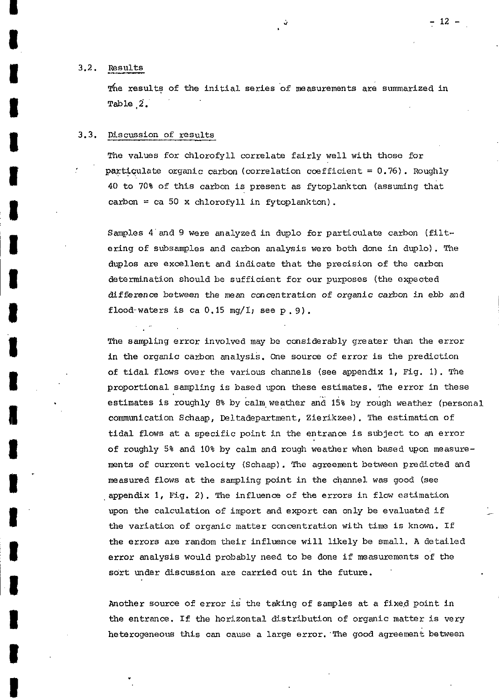**I** 

**I** 

**I** 

**1** 

**1** 

**I** 

**I** 

**1** 

**I** 

**1** 

**1** 

**I** 

**1** 

**I** 

**I** 

**I** 

**1** 

**I** 

**I** 

**I** 

:<br>!<br>.

The results of the initial series of measurements are summarized in Table **82.** 

#### 3.3. Discussion of results

.~

The values for chlorofyl1 correlate fairly wel1 with those for particulate organic carbon (correlation coefficient =  $0.76$ ). Roughly 40 to 70% of this carbon is present as fytoplankton (assuming that carbon = ca 50 x chlorofyll in fytoplankton).

Samples 4'and 9 were analyzed in duplo for particulate carbon (filtering of subsamples and carbon analysis were both done in duplo). The duplos are excellent and indicate that the precision of the carbon determination should be sufficient for our purposes (the expected difference between the mean concentration of organic carbon in ebb and flood-waters is ca  $0.15$  mg/I; see p. 9).

The sampling error involved may be considerably greater than the error in the organic carbon analysis. Cme source of error is the prediction of tidal flows over the various channels (see appendix 1, Fig. 1). The proportional sampling is based upon these estimates. The error in these estimates is roughly 8% by calm weather and 15% by rough weather (personal commmication Schaap, Deltadepartment, Zierikzee). The estimation of tidal flows at a specific point in the entrance is subject to an error of roughly 5% and 10% by calm and rough weather when based upon measurements of current velocity (Schaap). The agreement between predicted and measured flows at the sampling point in the channel was good (see appendix 1, Fig. 2). The influence of the errors in flow estimation upon the calculation of import and export can only be evaluated if the variation of organic matter concentration with time is known. If the errors are random their influence wil1 likely be small. A detailed error analysis would probably need to be done if measurements of the sort under discussion are carried out in the future.

Another source of error is the taking of samples at a fixeg point in the entrance. If the horizontal distribution of organic matter is very heterogeneous this can cause a large error. 'The good agreement between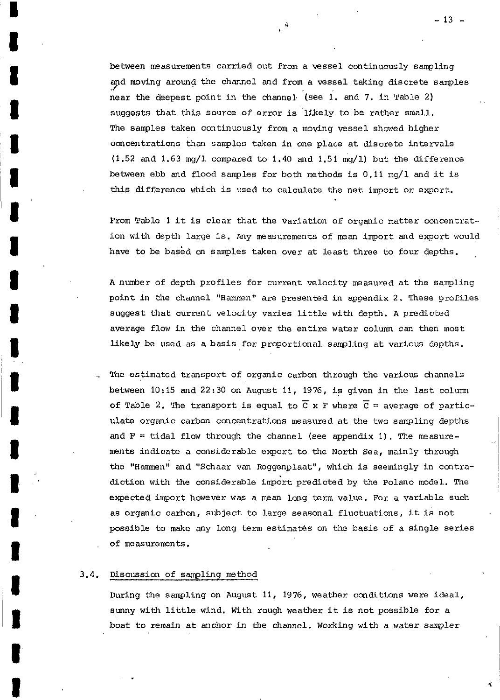between measuremnts carried out from a vessel continuously sampling and moving around the channel and from a vessel taking discrete samples near the deepest point in the channel (see 1. and 7. in Table 2) suggests that this source of error is likely to be rather small. The samples taken continuously from a moving vessel showed higher concentrations than samples taken in one place at discrete intervals  $(1.52 \text{ and } 1.63 \text{ mg/l})$  compared to 1.40 and 1.51 mg/1) but the difference between ebb and flood samples for both methods is 0.11 mg/l and it is **this** difference which is used *to* calculate the net import or export.

From Table 1 it is clear that the variation of organic matter concentration with depth large **is.** *Any* measurements of man import and export would have to be based on samples taken over at least three to four depths.

**A** number of depth profiles for current velocity masured at the sampling point in the channel "Hammen" are presented in appendix 2. mese profiles suggest that current velocity varies little with depth. A predicted average flow in the channel **over** the entire water column can then most likely be used as a basis for proportional sampling at various depths.

. The estimatcd transport of organic carbon through the various channels between 10:15 and 22:30 on August 11, 1976, **is** given in the last column of Table 2. The transport is equal to  $\overline{C}$  x F where  $\overline{C}$  = average of particulate organic carbon concentrations measured at the two sampling depths and  $F =$  tidal flow through the channel (see appendix 1). The measuremnts indicate a considerable export to the North Sea, mainly through the "Hammn" and "Schaar van Roggenplaat", which **is** seemingly **in** contradiction with the considerable import predicted by the **Polano** model. The expected import however was a mem long term value. **For** a variable such as organic carbon, subject to large seasonal fluctuations, it **is** not possible to make any long term estimates on the basis of a single series of measurements.

## 3.4. Discussion of sampling method

**I** 

**I** 

**I** 

**I** 

**I** 

**I** 

**1** 

**I** 

**1** 

**I** 

**I** 

**I** 

**1** 

**1** 

**1** 

**I** 

**1** 

**I1** 

**I** 

**I** 

**I** 

During the sampling on August 11, 1976, weather conditions were ideal, sunny with little wind. With rough weather it **is** not possible for a boat to remain at anchor in the channel. Working with a water sampler

- **13** -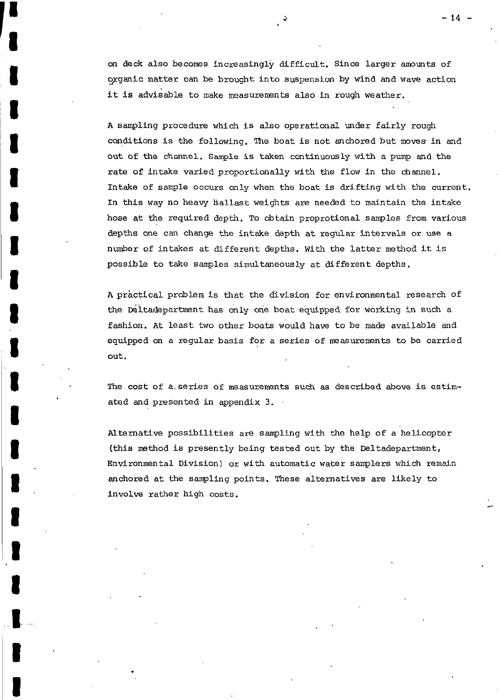*on* **deck** also becomes increasingly difficult. Since larger amunts of organic matter can be brought into suspension by wind and wave action it is advisable to make measurements also in rough weather.

**1** 

**I** 

**1** 

**I** 

**I** 

**I** 

**I** 

**I** 

**I** 

**1** 

**I** 

**I** 

**I** 

**I** 

**I** 

**I** 

**1** 

**I** 

A sampling procedure which is also operational under fairly rough conditions is the following. The boat is not anchored but moves in and out of the channel. Sample is taken continuously with a pump and the rate of intake varied proportionally with the flow in the channel. Intake of sample occurs **only** when the boat is drifting with the current. In this way no heavy Ballast weights **are** needed to maintain the intake hose at the required depth. TO obtain proprotional samples from various depths one can change the intake depth at regular intervals or **use** a number of intakes at different depths. With the latter methoä it is possible to take samples simuitaneously at different depths.

**<sup>A</sup>**practica1 problem is that the division for environmental research **of**  the Deltadepartment has only one boat equipped **for** working in cuch a fashion. At least two other boats would have to be made available and equipped on a regular basis for a series of measurements to be carried out.

**"he** cost of a.series of measurements **such** as described dove is estimated and presented in appendix **3.** 

Alternative possibilities are sampling with the help of a helicopter **(this** method is presently being tested out by the Deltadepartment, Environmental Division) or with automatic water samplers **which** remain anchored at the sampling points. **These** alternatives are likely to involve rather high costs.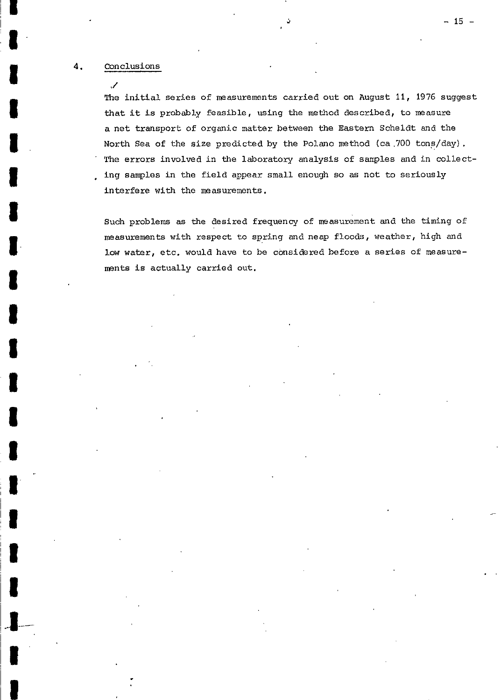# **4.** Conclusions

 $\overline{\mathscr{L}}$ 

The initial series of measurements carried out on August 11, 1976 suggest that it is probably feasible, using **the** method described, to measure a net transport of organic matter between the Eastern Scheldt and the North Sea **of** the size predicted by the Polano method (ca ,700 tons/day) . The errors involved in the laboratory analysis of samples and in collect- . ing samples in the field appear smal1 enough *60* as not to seriously interfere with the measurements.

Such problems as the desired frequency of measurement and the timing of measurements with respect to spring and neap **floods,** weather, high and low water, etc. would have to be considered before a series of measurements is actually carried out.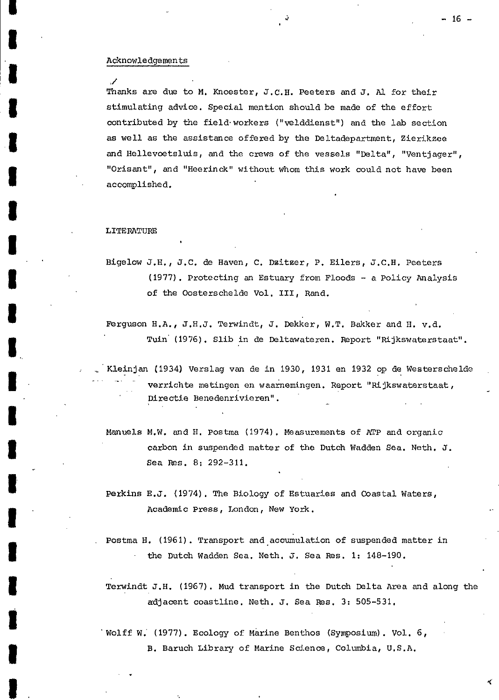#### Acknowledgemen ts

,/

**I** 

**1** 

**I** 

**I** 

**I** 

**I** 

**1** 

**I** 

**I** 

**i** 

**1** 

**I** 

**I** 

Thanks are due to M. Knoester, J.C.H. Peeters and **J.** *Al* for their stimulating advice. Special mention should be made of the effort contributed by the fie1d.workers ("velddienst") and the **lab** section as wol1 as the assistance offered by the Deltadepartment, Zierikzee **and** Hellevoetsluis, and the crews of the vessels "Delta", "Ventjager", "Orisant", and "Heerinck" without whom this work could not have been accompli shed.

#### LITERATURE

Bigelow J.H., J.C. de Haven, C. DEitEer, **P.** Eilers, J.C.H. Peeters (1977). Protecting an Estuary from Floods - a Policy Analysis of the Oosterschelde Vol. 111, Rand.

Ferguson H.A., J.H.J. Terwindt, J. Dekker, W.T. Bakker and H. v.d. Tuin' (1976). Slib in de Deltawateren. Report "Rijkswaterstaat".

Kleinjan (1934) Verslag van de in 1930, 1931 en 1932 op de Westerschelde verrichte metingen en waarnemingen. Report "Rijkswaterstaat, Directie Benedenrivieren".  $\omega$  . The set of the set of the set of the set of the set of the set of the set of the set of the set of the set of the set of the set of the set of the set of the set of the set of the set of the set of the set of the s

Manuels M.W. and H. Postma (1974). Measurements of ATP and organic carbon in suspended matter of the Dutch Wadden Sea. Neth. J. Sea **Res.** 8: 292-311.

Perkins E.J. (1974). The Biology of Estuaries and Coastal Waters, Academic Press, London , New York.

Postma H. (1961). Transport and accumulation of suspended matter in the Dutch Wadden Sea. Neth. **J.** Sea Res. 1: 148-190.

Terwindt J.H. (1967). Mud transport in the Dutch Blta Area and along the zdjacent coastline. Neth. J, Sea **Fes. 3:** 505-531.

' Wolff W.' (1977). Ecology of Marine Benthos (Symposium). **Vol.** 6, B. Baruch Library of Marine Science, Columbia, U.S.A.

- 16 -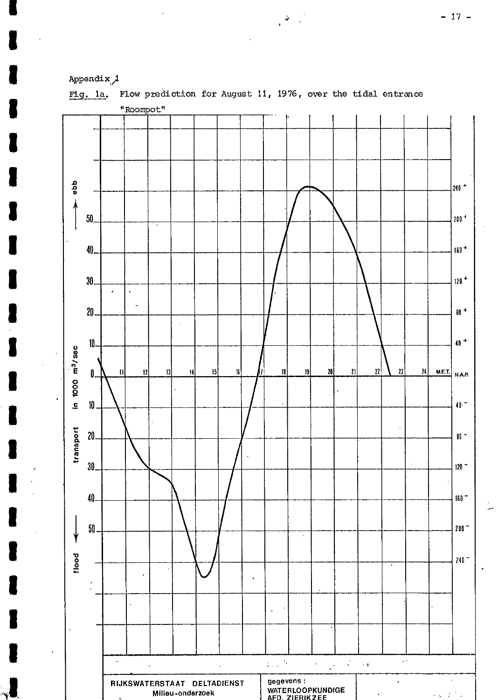



Flow prediction for August 11, 1976, over the tidal entrance Fig. 1a.

 $\mathbf{v}$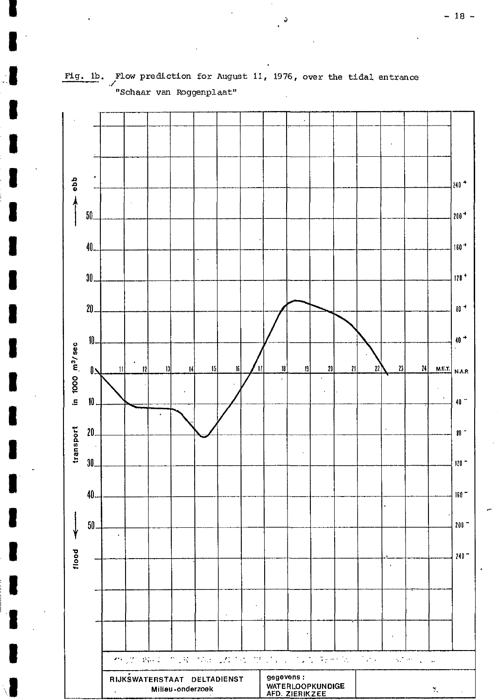

Flow prediction for August 11, 1976, over the tidal entrance Fig. 1b. .<br>"Schaar van Roggenplaat"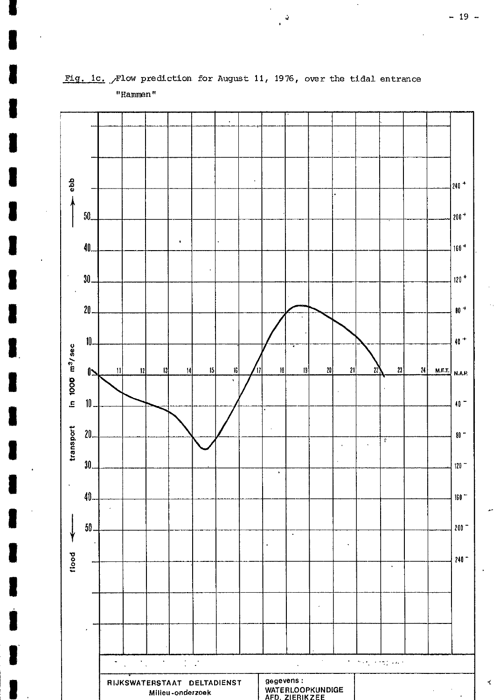

Fig. 1c. Flow prediction for August 11, 1976, over the tidal entrance "Hammen"

 $\frac{3}{2}$ 

∢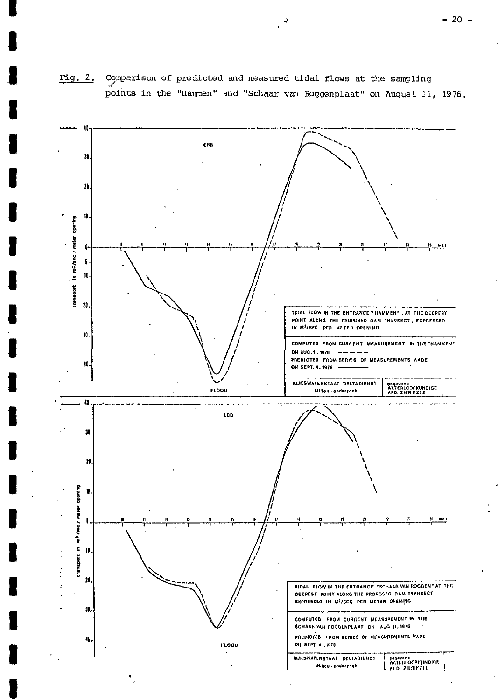

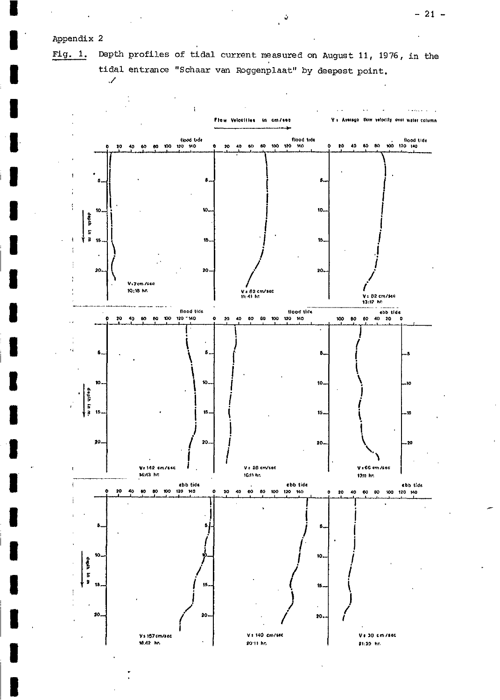# Appendix 2

 $\overline{\phantom{a}}$ 

10.42 hr.

Depth profiles of tidal current measured on August 11, 1976, in the Fig.  $1.$ tidal entrance "Schaar van Roggenplaat" by deepest point.



20°11 hr.

21:39 hr.